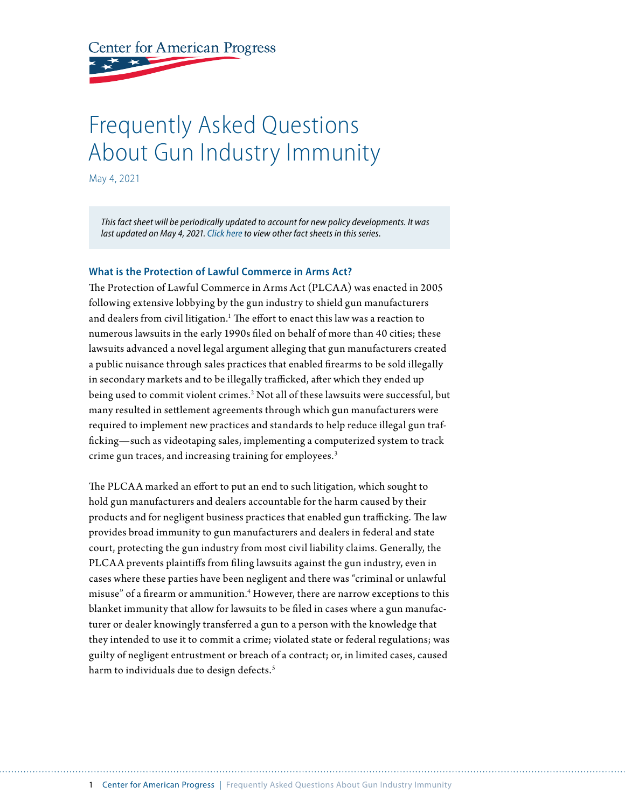**Center for American Progress** 

# Frequently Asked Questions About Gun Industry Immunity

May 4, 2021

*This fact sheet will be periodically updated to account for new policy developments. It was last updated on May 4, 2021. Click [here](https://www.americanprogress.org/series/gun-violence-prevention-policy-faqs/) to view other fact sheets in this series.*

#### **What is the Protection of Lawful Commerce in Arms Act?**

The Protection of Lawful Commerce in Arms Act (PLCAA) was enacted in 2005 following extensive lobbying by the gun industry to shield gun manufacturers and dealers from civil litigation.<sup>1</sup> The effort to enact this law was a reaction to numerous lawsuits in the early 1990s filed on behalf of more than 40 cities; these lawsuits advanced a novel legal argument alleging that gun manufacturers created a public nuisance through sales practices that enabled firearms to be sold illegally in secondary markets and to be illegally trafficked, after which they ended up being used to commit violent crimes.<sup>2</sup> Not all of these lawsuits were successful, but many resulted in settlement agreements through which gun manufacturers were required to implement new practices and standards to help reduce illegal gun trafficking—such as videotaping sales, implementing a computerized system to track crime gun traces, and increasing training for employees.<sup>3</sup>

The PLCAA marked an effort to put an end to such litigation, which sought to hold gun manufacturers and dealers accountable for the harm caused by their products and for negligent business practices that enabled gun trafficking. The law provides broad immunity to gun manufacturers and dealers in federal and state court, protecting the gun industry from most civil liability claims. Generally, the PLCAA prevents plaintiffs from filing lawsuits against the gun industry, even in cases where these parties have been negligent and there was "criminal or unlawful misuse" of a firearm or ammunition.4 However, there are narrow exceptions to this blanket immunity that allow for lawsuits to be filed in cases where a gun manufacturer or dealer knowingly transferred a gun to a person with the knowledge that they intended to use it to commit a crime; violated state or federal regulations; was guilty of negligent entrustment or breach of a contract; or, in limited cases, caused harm to individuals due to design defects.<sup>5</sup>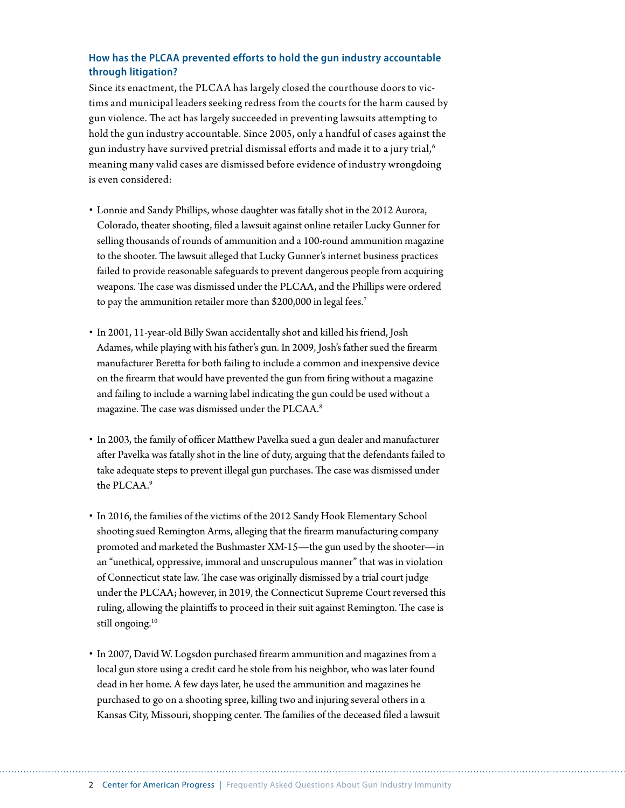## **How has the PLCAA prevented efforts to hold the gun industry accountable through litigation?**

Since its enactment, the PLCAA has largely closed the courthouse doors to victims and municipal leaders seeking redress from the courts for the harm caused by gun violence. The act has largely succeeded in preventing lawsuits attempting to hold the gun industry accountable. Since 2005, only a handful of cases against the gun industry have survived pretrial dismissal efforts and made it to a jury trial,<sup>6</sup> meaning many valid cases are dismissed before evidence of industry wrongdoing is even considered:

- Lonnie and Sandy Phillips, whose daughter was fatally shot in the 2012 Aurora, Colorado, theater shooting, filed a lawsuit against online retailer Lucky Gunner for selling thousands of rounds of ammunition and a 100-round ammunition magazine to the shooter. The lawsuit alleged that Lucky Gunner's internet business practices failed to provide reasonable safeguards to prevent dangerous people from acquiring weapons. The case was dismissed under the PLCAA, and the Phillips were ordered to pay the ammunition retailer more than \$200,000 in legal fees.<sup>7</sup>
- In 2001, 11-year-old Billy Swan accidentally shot and killed his friend, Josh Adames, while playing with his father's gun. In 2009, Josh's father sued the firearm manufacturer Beretta for both failing to include a common and inexpensive device on the firearm that would have prevented the gun from firing without a magazine and failing to include a warning label indicating the gun could be used without a magazine. The case was dismissed under the PLCAA.<sup>8</sup>
- In 2003, the family of officer Matthew Pavelka sued a gun dealer and manufacturer after Pavelka was fatally shot in the line of duty, arguing that the defendants failed to take adequate steps to prevent illegal gun purchases. The case was dismissed under the PLCAA.9
- In 2016, the families of the victims of the 2012 Sandy Hook Elementary School shooting sued Remington Arms, alleging that the firearm manufacturing company promoted and marketed the Bushmaster XM-15—the gun used by the shooter—in an "unethical, oppressive, immoral and unscrupulous manner" that was in violation of Connecticut state law. The case was originally dismissed by a trial court judge under the PLCAA; however, in 2019, the Connecticut Supreme Court reversed this ruling, allowing the plaintiffs to proceed in their suit against Remington. The case is still ongoing.<sup>10</sup>
- In 2007, David W. Logsdon purchased firearm ammunition and magazines from a local gun store using a credit card he stole from his neighbor, who was later found dead in her home. A few days later, he used the ammunition and magazines he purchased to go on a shooting spree, killing two and injuring several others in a Kansas City, Missouri, shopping center. The families of the deceased filed a lawsuit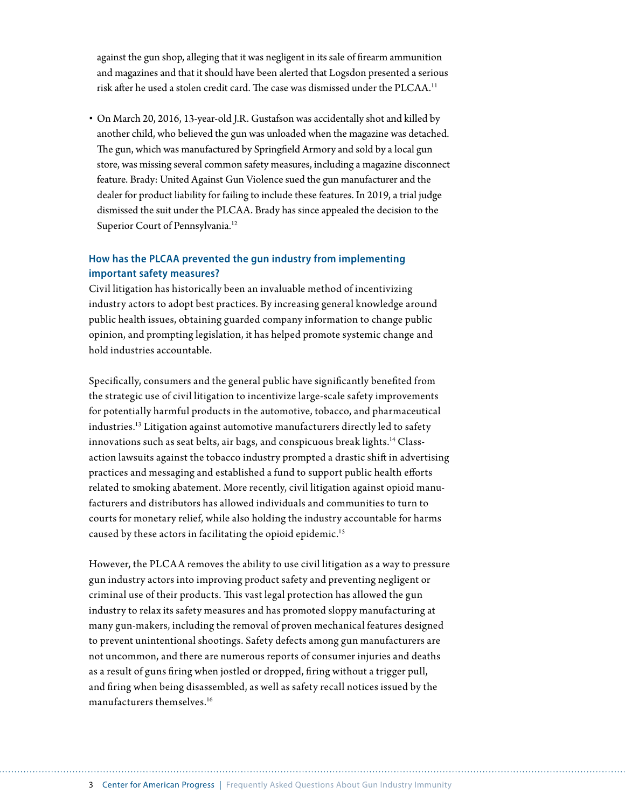against the gun shop, alleging that it was negligent in its sale of firearm ammunition and magazines and that it should have been alerted that Logsdon presented a serious risk after he used a stolen credit card. The case was dismissed under the PLCAA.<sup>11</sup>

• On March 20, 2016, 13-year-old J.R. Gustafson was accidentally shot and killed by another child, who believed the gun was unloaded when the magazine was detached. The gun, which was manufactured by Springfield Armory and sold by a local gun store, was missing several common safety measures, including a magazine disconnect feature. Brady: United Against Gun Violence sued the gun manufacturer and the dealer for product liability for failing to include these features. In 2019, a trial judge dismissed the suit under the PLCAA. Brady has since appealed the decision to the Superior Court of Pennsylvania.<sup>12</sup>

## **How has the PLCAA prevented the gun industry from implementing important safety measures?**

Civil litigation has historically been an invaluable method of incentivizing industry actors to adopt best practices. By increasing general knowledge around public health issues, obtaining guarded company information to change public opinion, and prompting legislation, it has helped promote systemic change and hold industries accountable.

Specifically, consumers and the general public have significantly benefited from the strategic use of civil litigation to incentivize large-scale safety improvements for potentially harmful products in the automotive, tobacco, and pharmaceutical industries.13 Litigation against automotive manufacturers directly led to safety innovations such as seat belts, air bags, and conspicuous break lights.<sup>14</sup> Classaction lawsuits against the tobacco industry prompted a drastic shift in advertising practices and messaging and established a fund to support public health efforts related to smoking abatement. More recently, civil litigation against opioid manufacturers and distributors has allowed individuals and communities to turn to courts for monetary relief, while also holding the industry accountable for harms caused by these actors in facilitating the opioid epidemic.<sup>15</sup>

However, the PLCAA removes the ability to use civil litigation as a way to pressure gun industry actors into improving product safety and preventing negligent or criminal use of their products. This vast legal protection has allowed the gun industry to relax its safety measures and has promoted sloppy manufacturing at many gun-makers, including the removal of proven mechanical features designed to prevent unintentional shootings. Safety defects among gun manufacturers are not uncommon, and there are numerous reports of consumer injuries and deaths as a result of guns firing when jostled or dropped, firing without a trigger pull, and firing when being disassembled, as well as safety recall notices issued by the manufacturers themselves.16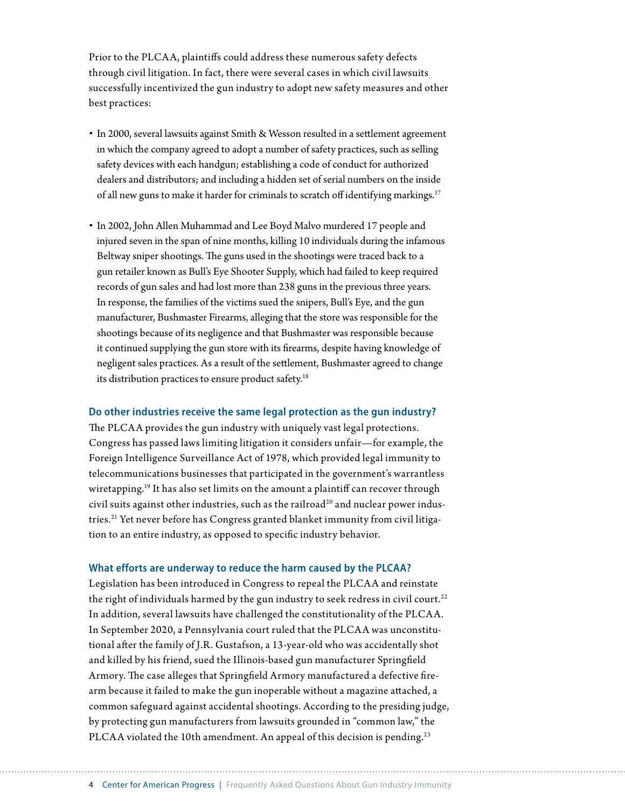Prior to the PLCAA, plaintiffs could address these numerous safety defects through civil litigation. In fact, there were several cases in which civil lawsuits successfully incentivized the gun industry to adopt new safety measures and other best practices:

- In 2000, several lawsuits against Smith & Wesson resulted in a settlement agreement in which the company agreed to adopt a number of safety practices, such as selling safety devices with each handgun; establishing a code of conduct for authorized dealers and distributors; and including a hidden set of serial numbers on the inside of all new guns to make it harder for criminals to scratch off identifying markings.<sup>17</sup>
- In 2002, John Allen Muhammad and Lee Boyd Malvo murdered 17 people and injured seven in the span of nine months, killing 10 individuals during the infamous Beltway sniper shootings. The guns used in the shootings were traced back to a gun retailer known as Bull's Eye Shooter Supply, which had failed to keep required records of gun sales and had lost more than 238 guns in the previous three years. In response, the families of the victims sued the snipers, Bull's Eye, and the gun manufacturer, Bushmaster Firearms, alleging that the store was responsible for the shootings because of its negligence and that Bushmaster was responsible because it continued supplying the gun store with its firearms, despite having knowledge of negligent sales practices. As a result of the settlement, Bushmaster agreed to change its distribution practices to ensure product safety.<sup>18</sup>

#### **Do other industries receive the same legal protection as the gun industry?**

The PLCAA provides the gun industry with uniquely vast legal protections. Congress has passed laws limiting litigation it considers unfair—for example, the Foreign Intelligence Surveillance Act of 1978, which provided legal immunity to telecommunications businesses that participated in the government's warrantless wiretapping.<sup>19</sup> It has also set limits on the amount a plaintiff can recover through civil suits against other industries, such as the railroad<sup>20</sup> and nuclear power industries.<sup>21</sup> Yet never before has Congress granted blanket immunity from civil litigation to an entire industry, as opposed to specific industry behavior.

#### **What efforts are underway to reduce the harm caused by the PLCAA?**

Legislation has been introduced in Congress to repeal the PLCAA and reinstate the right of individuals harmed by the gun industry to seek redress in civil court.<sup>22</sup> In addition, several lawsuits have challenged the constitutionality of the PLCAA. In September 2020, a Pennsylvania court ruled that the PLCAA was unconstitutional after the family of J.R. Gustafson, a 13-year-old who was accidentally shot and killed by his friend, sued the Illinois-based gun manufacturer Springfield Armory. The case alleges that Springfield Armory manufactured a defective firearm because it failed to make the gun inoperable without a magazine attached, a common safeguard against accidental shootings. According to the presiding judge, by protecting gun manufacturers from lawsuits grounded in "common law," the PLCAA violated the 10th amendment. An appeal of this decision is pending.<sup>23</sup>